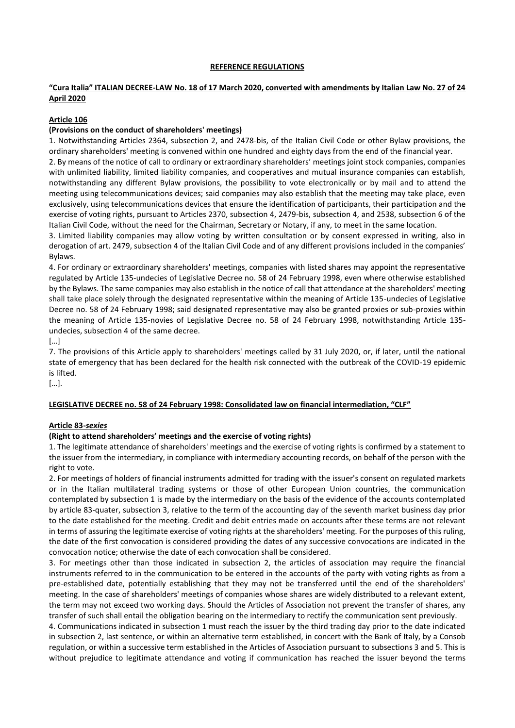#### **REFERENCE REGULATIONS**

# **"Cura Italia" ITALIAN DECREE-LAW No. 18 of 17 March 2020, converted with amendments by Italian Law No. 27 of 24 April 2020**

### **Article 106**

### **(Provisions on the conduct of shareholders' meetings)**

1. Notwithstanding Articles 2364, subsection 2, and 2478-bis, of the Italian Civil Code or other Bylaw provisions, the ordinary shareholders' meeting is convened within one hundred and eighty days from the end of the financial year. 2. By means of the notice of call to ordinary or extraordinary shareholders' meetings joint stock companies, companies with unlimited liability, limited liability companies, and cooperatives and mutual insurance companies can establish, notwithstanding any different Bylaw provisions, the possibility to vote electronically or by mail and to attend the meeting using telecommunications devices; said companies may also establish that the meeting may take place, even exclusively, using telecommunications devices that ensure the identification of participants, their participation and the exercise of voting rights, pursuant to Articles 2370, subsection 4, 2479-bis, subsection 4, and 2538, subsection 6 of the

Italian Civil Code, without the need for the Chairman, Secretary or Notary, if any, to meet in the same location. 3. Limited liability companies may allow voting by written consultation or by consent expressed in writing, also in derogation of art. 2479, subsection 4 of the Italian Civil Code and of any different provisions included in the companies' Bylaws.

4. For ordinary or extraordinary shareholders' meetings, companies with listed shares may appoint the representative regulated by Article 135-undecies of Legislative Decree no. 58 of 24 February 1998, even where otherwise established by the Bylaws. The same companies may also establish in the notice of call that attendance at the shareholders' meeting shall take place solely through the designated representative within the meaning of Article 135-undecies of Legislative Decree no. 58 of 24 February 1998; said designated representative may also be granted proxies or sub-proxies within the meaning of Article 135-novies of Legislative Decree no. 58 of 24 February 1998, notwithstanding Article 135 undecies, subsection 4 of the same decree.

[…]

7. The provisions of this Article apply to shareholders' meetings called by 31 July 2020, or, if later, until the national state of emergency that has been declared for the health risk connected with the outbreak of the COVID-19 epidemic is lifted.

[…].

### **LEGISLATIVE DECREE no. 58 of 24 February 1998: Consolidated law on financial intermediation, "CLF"**

### **Article 83-***sexies*

### **(Right to attend shareholders' meetings and the exercise of voting rights)**

1. The legitimate attendance of shareholders' meetings and the exercise of voting rights is confirmed by a statement to the issuer from the intermediary, in compliance with intermediary accounting records, on behalf of the person with the right to vote.

2. For meetings of holders of financial instruments admitted for trading with the issuer's consent on regulated markets or in the Italian multilateral trading systems or those of other European Union countries, the communication contemplated by subsection 1 is made by the intermediary on the basis of the evidence of the accounts contemplated by article 83-quater, subsection 3, relative to the term of the accounting day of the seventh market business day prior to the date established for the meeting. Credit and debit entries made on accounts after these terms are not relevant in terms of assuring the legitimate exercise of voting rights at the shareholders' meeting. For the purposes of this ruling, the date of the first convocation is considered providing the dates of any successive convocations are indicated in the convocation notice; otherwise the date of each convocation shall be considered.

3. For meetings other than those indicated in subsection 2, the articles of association may require the financial instruments referred to in the communication to be entered in the accounts of the party with voting rights as from a pre-established date, potentially establishing that they may not be transferred until the end of the shareholders' meeting. In the case of shareholders' meetings of companies whose shares are widely distributed to a relevant extent, the term may not exceed two working days. Should the Articles of Association not prevent the transfer of shares, any transfer of such shall entail the obligation bearing on the intermediary to rectify the communication sent previously.

4. Communications indicated in subsection 1 must reach the issuer by the third trading day prior to the date indicated in subsection 2, last sentence, or within an alternative term established, in concert with the Bank of Italy, by a Consob regulation, or within a successive term established in the Articles of Association pursuant to subsections 3 and 5. This is without prejudice to legitimate attendance and voting if communication has reached the issuer beyond the terms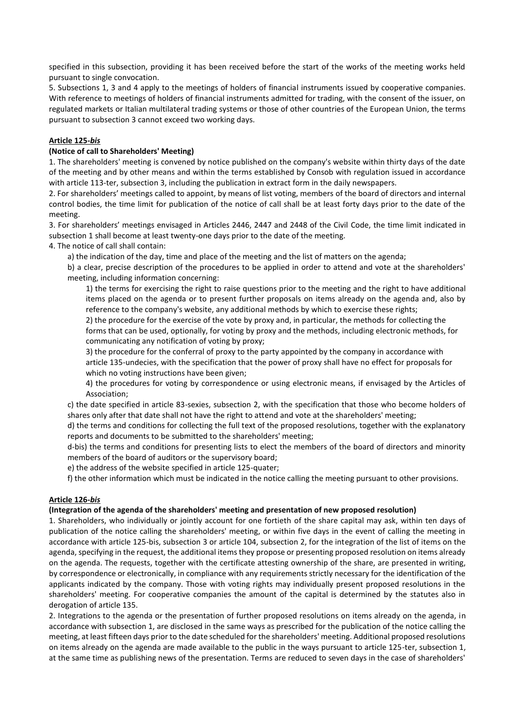specified in this subsection, providing it has been received before the start of the works of the meeting works held pursuant to single convocation.

5. Subsections 1, 3 and 4 apply to the meetings of holders of financial instruments issued by cooperative companies. With reference to meetings of holders of financial instruments admitted for trading, with the consent of the issuer, on regulated markets or Italian multilateral trading systems or those of other countries of the European Union, the terms pursuant to subsection 3 cannot exceed two working days.

# **Article 125-***bis*

# **(Notice of call to Shareholders' Meeting)**

1. The shareholders' meeting is convened by notice published on the company's website within thirty days of the date of the meeting and by other means and within the terms established by Consob with regulation issued in accordance with article 113-ter, subsection 3, including the publication in extract form in the daily newspapers.

2. For shareholders' meetings called to appoint, by means of list voting, members of the board of directors and internal control bodies, the time limit for publication of the notice of call shall be at least forty days prior to the date of the meeting.

3. For shareholders' meetings envisaged in Articles 2446, 2447 and 2448 of the Civil Code, the time limit indicated in subsection 1 shall become at least twenty-one days prior to the date of the meeting.

4. The notice of call shall contain:

a) the indication of the day, time and place of the meeting and the list of matters on the agenda;

b) a clear, precise description of the procedures to be applied in order to attend and vote at the shareholders' meeting, including information concerning:

1) the terms for exercising the right to raise questions prior to the meeting and the right to have additional items placed on the agenda or to present further proposals on items already on the agenda and, also by reference to the company's website, any additional methods by which to exercise these rights;

2) the procedure for the exercise of the vote by proxy and, in particular, the methods for collecting the forms that can be used, optionally, for voting by proxy and the methods, including electronic methods, for communicating any notification of voting by proxy;

3) the procedure for the conferral of proxy to the party appointed by the company in accordance with article 135-undecies, with the specification that the power of proxy shall have no effect for proposals for which no voting instructions have been given;

4) the procedures for voting by correspondence or using electronic means, if envisaged by the Articles of Association;

c) the date specified in article 83-sexies, subsection 2, with the specification that those who become holders of shares only after that date shall not have the right to attend and vote at the shareholders' meeting;

d) the terms and conditions for collecting the full text of the proposed resolutions, together with the explanatory reports and documents to be submitted to the shareholders' meeting;

d-bis) the terms and conditions for presenting lists to elect the members of the board of directors and minority members of the board of auditors or the supervisory board;

e) the address of the website specified in article 125-quater;

f) the other information which must be indicated in the notice calling the meeting pursuant to other provisions.

### **Article 126-***bis*

### **(Integration of the agenda of the shareholders' meeting and presentation of new proposed resolution)**

1. Shareholders, who individually or jointly account for one fortieth of the share capital may ask, within ten days of publication of the notice calling the shareholders' meeting, or within five days in the event of calling the meeting in accordance with article 125-bis, subsection 3 or article 104, subsection 2, for the integration of the list of items on the agenda, specifying in the request, the additional items they propose or presenting proposed resolution on items already on the agenda. The requests, together with the certificate attesting ownership of the share, are presented in writing, by correspondence or electronically, in compliance with any requirements strictly necessary for the identification of the applicants indicated by the company. Those with voting rights may individually present proposed resolutions in the shareholders' meeting. For cooperative companies the amount of the capital is determined by the statutes also in derogation of article 135.

2. Integrations to the agenda or the presentation of further proposed resolutions on items already on the agenda, in accordance with subsection 1, are disclosed in the same ways as prescribed for the publication of the notice calling the meeting, at least fifteen days prior to the date scheduled for the shareholders' meeting. Additional proposed resolutions on items already on the agenda are made available to the public in the ways pursuant to article 125-ter, subsection 1, at the same time as publishing news of the presentation. Terms are reduced to seven days in the case of shareholders'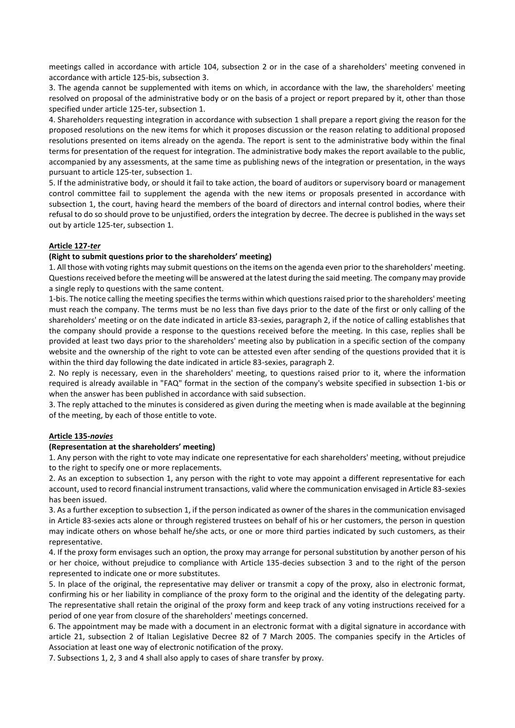meetings called in accordance with article 104, subsection 2 or in the case of a shareholders' meeting convened in accordance with article 125-bis, subsection 3.

3. The agenda cannot be supplemented with items on which, in accordance with the law, the shareholders' meeting resolved on proposal of the administrative body or on the basis of a project or report prepared by it, other than those specified under article 125-ter, subsection 1.

4. Shareholders requesting integration in accordance with subsection 1 shall prepare a report giving the reason for the proposed resolutions on the new items for which it proposes discussion or the reason relating to additional proposed resolutions presented on items already on the agenda. The report is sent to the administrative body within the final terms for presentation of the request for integration. The administrative body makes the report available to the public, accompanied by any assessments, at the same time as publishing news of the integration or presentation, in the ways pursuant to article 125-ter, subsection 1.

5. If the administrative body, or should it fail to take action, the board of auditors or supervisory board or management control committee fail to supplement the agenda with the new items or proposals presented in accordance with subsection 1, the court, having heard the members of the board of directors and internal control bodies, where their refusal to do so should prove to be unjustified, orders the integration by decree. The decree is published in the ways set out by article 125-ter, subsection 1.

### **Article 127-***ter*

# **(Right to submit questions prior to the shareholders' meeting)**

1. All those with voting rights may submit questions on the items on the agenda even prior to the shareholders' meeting. Questions received before the meeting will be answered at the latest during the said meeting. The company may provide a single reply to questions with the same content.

1-bis. The notice calling the meeting specifies the terms within which questions raised prior to the shareholders' meeting must reach the company. The terms must be no less than five days prior to the date of the first or only calling of the shareholders' meeting or on the date indicated in article 83-sexies, paragraph 2, if the notice of calling establishes that the company should provide a response to the questions received before the meeting. In this case, replies shall be provided at least two days prior to the shareholders' meeting also by publication in a specific section of the company website and the ownership of the right to vote can be attested even after sending of the questions provided that it is within the third day following the date indicated in article 83-sexies, paragraph 2.

2. No reply is necessary, even in the shareholders' meeting, to questions raised prior to it, where the information required is already available in "FAQ" format in the section of the company's website specified in subsection 1-bis or when the answer has been published in accordance with said subsection.

3. The reply attached to the minutes is considered as given during the meeting when is made available at the beginning of the meeting, by each of those entitle to vote.

### **Article 135-***novies*

### **(Representation at the shareholders' meeting)**

1. Any person with the right to vote may indicate one representative for each shareholders' meeting, without prejudice to the right to specify one or more replacements.

2. As an exception to subsection 1, any person with the right to vote may appoint a different representative for each account, used to record financial instrument transactions, valid where the communication envisaged in Article 83-sexies has been issued.

3. As a further exception to subsection 1, if the person indicated as owner of the shares in the communication envisaged in Article 83-sexies acts alone or through registered trustees on behalf of his or her customers, the person in question may indicate others on whose behalf he/she acts, or one or more third parties indicated by such customers, as their representative.

4. If the proxy form envisages such an option, the proxy may arrange for personal substitution by another person of his or her choice, without prejudice to compliance with Article 135-decies subsection 3 and to the right of the person represented to indicate one or more substitutes.

5. In place of the original, the representative may deliver or transmit a copy of the proxy, also in electronic format, confirming his or her liability in compliance of the proxy form to the original and the identity of the delegating party. The representative shall retain the original of the proxy form and keep track of any voting instructions received for a period of one year from closure of the shareholders' meetings concerned.

6. The appointment may be made with a document in an electronic format with a digital signature in accordance with article 21, subsection 2 of Italian Legislative Decree 82 of 7 March 2005. The companies specify in the Articles of Association at least one way of electronic notification of the proxy.

7. Subsections 1, 2, 3 and 4 shall also apply to cases of share transfer by proxy.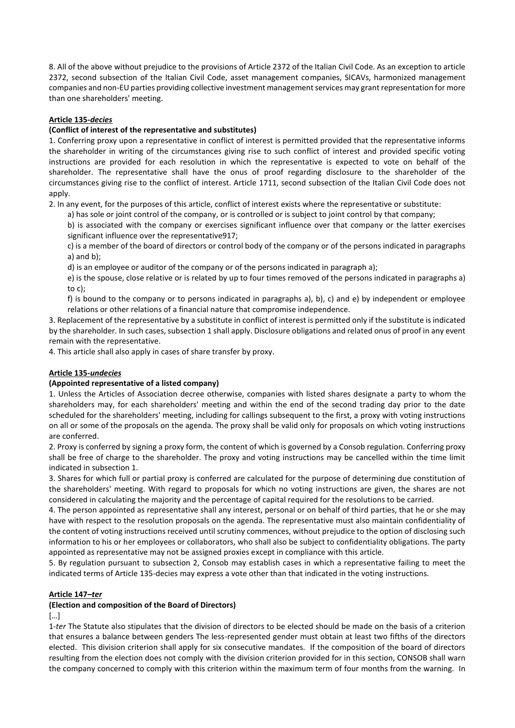8. All of the above without prejudice to the provisions of Article 2372 of the Italian Civil Code. As an exception to article 2372, second subsection of the Italian Civil Code, asset management companies, SICAVs, harmonized management companies and non-EU parties providing collective investment management services may grant representation for more than one shareholders' meeting.

### **Article 135-***decies*

### **(Conflict of interest of the representative and substitutes)**

1. Conferring proxy upon a representative in conflict of interest is permitted provided that the representative informs the shareholder in writing of the circumstances giving rise to such conflict of interest and provided specific voting instructions are provided for each resolution in which the representative is expected to vote on behalf of the shareholder. The representative shall have the onus of proof regarding disclosure to the shareholder of the circumstances giving rise to the conflict of interest. Article 1711, second subsection of the Italian Civil Code does not apply.

2. In any event, for the purposes of this article, conflict of interest exists where the representative or substitute:

a) has sole or joint control of the company, or is controlled or is subject to joint control by that company;

b) is associated with the company or exercises significant influence over that company or the latter exercises significant influence over the representative917;

c) is a member of the board of directors or control body of the company or of the persons indicated in paragraphs a) and b);

d) is an employee or auditor of the company or of the persons indicated in paragraph a);

e) is the spouse, close relative or is related by up to four times removed of the persons indicated in paragraphs a) to c);

f) is bound to the company or to persons indicated in paragraphs a), b), c) and e) by independent or employee relations or other relations of a financial nature that compromise independence.

3. Replacement of the representative by a substitute in conflict of interest is permitted only if the substitute is indicated by the shareholder. In such cases, subsection 1 shall apply. Disclosure obligations and related onus of proof in any event remain with the representative.

4. This article shall also apply in cases of share transfer by proxy.

### **Article 135-***undecies*

### **(Appointed representative of a listed company)**

1. Unless the Articles of Association decree otherwise, companies with listed shares designate a party to whom the shareholders may, for each shareholders' meeting and within the end of the second trading day prior to the date scheduled for the shareholders' meeting, including for callings subsequent to the first, a proxy with voting instructions on all or some of the proposals on the agenda. The proxy shall be valid only for proposals on which voting instructions are conferred.

2. Proxy is conferred by signing a proxy form, the content of which is governed by a Consob regulation. Conferring proxy shall be free of charge to the shareholder. The proxy and voting instructions may be cancelled within the time limit indicated in subsection 1.

3. Shares for which full or partial proxy is conferred are calculated for the purpose of determining due constitution of the shareholders' meeting. With regard to proposals for which no voting instructions are given, the shares are not considered in calculating the majority and the percentage of capital required for the resolutions to be carried.

4. The person appointed as representative shall any interest, personal or on behalf of third parties, that he or she may have with respect to the resolution proposals on the agenda. The representative must also maintain confidentiality of the content of voting instructions received until scrutiny commences, without prejudice to the option of disclosing such information to his or her employees or collaborators, who shall also be subject to confidentiality obligations. The party appointed as representative may not be assigned proxies except in compliance with this article.

5. By regulation pursuant to subsection 2, Consob may establish cases in which a representative failing to meet the indicated terms of Article 135-decies may express a vote other than that indicated in the voting instructions.

### **Article 147–***ter*

### **(Election and composition of the Board of Directors)**

 $\lceil$ ...]

1-*ter* The Statute also stipulates that the division of directors to be elected should be made on the basis of a criterion that ensures a balance between genders The less-represented gender must obtain at least two fifths of the directors elected. This division criterion shall apply for six consecutive mandates. If the composition of the board of directors resulting from the election does not comply with the division criterion provided for in this section, CONSOB shall warn the company concerned to comply with this criterion within the maximum term of four months from the warning. In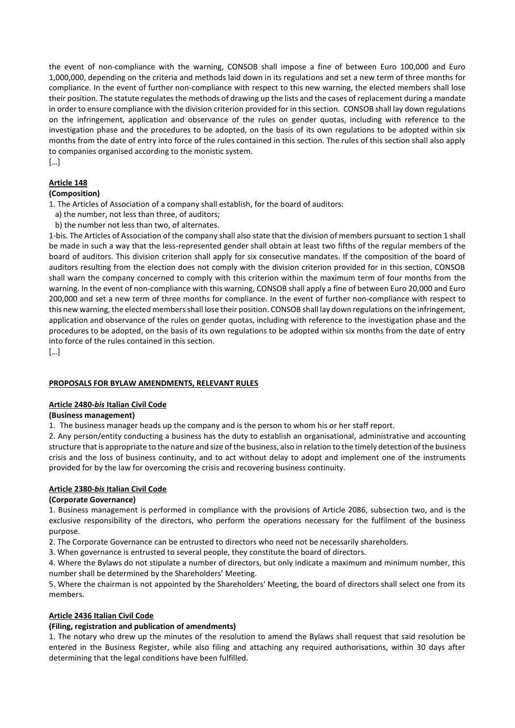the event of non-compliance with the warning, CONSOB shall impose a fine of between Euro 100,000 and Euro 1,000,000, depending on the criteria and methods laid down in its regulations and set a new term of three months for compliance. In the event of further non-compliance with respect to this new warning, the elected members shall lose their position. The statute regulates the methods of drawing up the lists and the cases of replacement during a mandate in order to ensure compliance with the division criterion provided for in this section. CONSOB shall lay down regulations on the infringement, application and observance of the rules on gender quotas, including with reference to the investigation phase and the procedures to be adopted, on the basis of its own regulations to be adopted within six months from the date of entry into force of the rules contained in this section. The rules of this section shall also apply to companies organised according to the monistic system.

[…]

# **Article 148**

### **(Composition)**

1. The Articles of Association of a company shall establish, for the board of auditors:

- a) the number, not less than three, of auditors;
- b) the number not less than two, of alternates.

1-bis. The Articles of Association of the company shall also state that the division of members pursuant to section 1 shall be made in such a way that the less-represented gender shall obtain at least two fifths of the regular members of the board of auditors. This division criterion shall apply for six consecutive mandates. If the composition of the board of auditors resulting from the election does not comply with the division criterion provided for in this section, CONSOB shall warn the company concerned to comply with this criterion within the maximum term of four months from the warning. In the event of non-compliance with this warning, CONSOB shall apply a fine of between Euro 20,000 and Euro 200,000 and set a new term of three months for compliance. In the event of further non-compliance with respect to this new warning, the elected members shall lose their position. CONSOB shall lay down regulations on the infringement, application and observance of the rules on gender quotas, including with reference to the investigation phase and the procedures to be adopted, on the basis of its own regulations to be adopted within six months from the date of entry into force of the rules contained in this section.

[…]

### **PROPOSALS FOR BYLAW AMENDMENTS, RELEVANT RULES**

### **Article 2480-***bis* **Italian Civil Code**

### **(Business management)**

1. The business manager heads up the company and is the person to whom his or her staff report.

2. Any person/entity conducting a business has the duty to establish an organisational, administrative and accounting structure that is appropriate to the nature and size of the business, also in relation to the timely detection of the business crisis and the loss of business continuity, and to act without delay to adopt and implement one of the instruments provided for by the law for overcoming the crisis and recovering business continuity.

### **Article 2380-***bis* **Italian Civil Code**

### **(Corporate Governance)**

1. Business management is performed in compliance with the provisions of Article 2086, subsection two, and is the exclusive responsibility of the directors, who perform the operations necessary for the fulfilment of the business purpose.

2. The Corporate Governance can be entrusted to directors who need not be necessarily shareholders.

3. When governance is entrusted to several people, they constitute the board of directors.

4. Where the Bylaws do not stipulate a number of directors, but only indicate a maximum and minimum number, this number shall be determined by the Shareholders' Meeting.

5. Where the chairman is not appointed by the Shareholders' Meeting, the board of directors shall select one from its members.

### **Article 2436 Italian Civil Code**

### **(Filing, registration and publication of amendments)**

1. The notary who drew up the minutes of the resolution to amend the Bylaws shall request that said resolution be entered in the Business Register, while also filing and attaching any required authorisations, within 30 days after determining that the legal conditions have been fulfilled.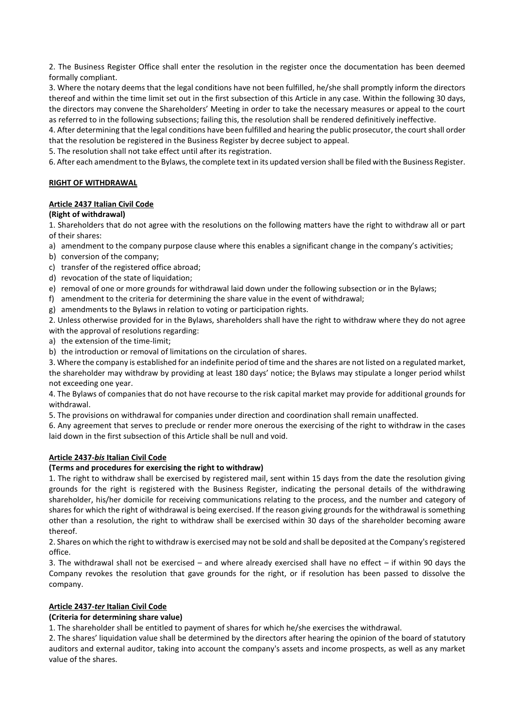2. The Business Register Office shall enter the resolution in the register once the documentation has been deemed formally compliant.

3. Where the notary deems that the legal conditions have not been fulfilled, he/she shall promptly inform the directors thereof and within the time limit set out in the first subsection of this Article in any case. Within the following 30 days, the directors may convene the Shareholders' Meeting in order to take the necessary measures or appeal to the court as referred to in the following subsections; failing this, the resolution shall be rendered definitively ineffective.

4. After determining that the legal conditions have been fulfilled and hearing the public prosecutor, the court shall order that the resolution be registered in the Business Register by decree subject to appeal.

5. The resolution shall not take effect until after its registration.

6. After each amendment to the Bylaws, the complete text in its updated version shall be filed with the Business Register.

# **RIGHT OF WITHDRAWAL**

# **Article 2437 Italian Civil Code**

# **(Right of withdrawal)**

1. Shareholders that do not agree with the resolutions on the following matters have the right to withdraw all or part of their shares:

- a) amendment to the company purpose clause where this enables a significant change in the company's activities;
- b) conversion of the company;
- c) transfer of the registered office abroad;
- d) revocation of the state of liquidation;
- e) removal of one or more grounds for withdrawal laid down under the following subsection or in the Bylaws;
- f) amendment to the criteria for determining the share value in the event of withdrawal;
- g) amendments to the Bylaws in relation to voting or participation rights.

2. Unless otherwise provided for in the Bylaws, shareholders shall have the right to withdraw where they do not agree with the approval of resolutions regarding:

- a) the extension of the time-limit;
- b) the introduction or removal of limitations on the circulation of shares.

3. Where the company is established for an indefinite period of time and the shares are not listed on a regulated market, the shareholder may withdraw by providing at least 180 days' notice; the Bylaws may stipulate a longer period whilst not exceeding one year.

4. The Bylaws of companies that do not have recourse to the risk capital market may provide for additional grounds for withdrawal.

5. The provisions on withdrawal for companies under direction and coordination shall remain unaffected.

6. Any agreement that serves to preclude or render more onerous the exercising of the right to withdraw in the cases laid down in the first subsection of this Article shall be null and void.

# **Article 2437-***bis* **Italian Civil Code**

### **(Terms and procedures for exercising the right to withdraw)**

1. The right to withdraw shall be exercised by registered mail, sent within 15 days from the date the resolution giving grounds for the right is registered with the Business Register, indicating the personal details of the withdrawing shareholder, his/her domicile for receiving communications relating to the process, and the number and category of shares for which the right of withdrawal is being exercised. If the reason giving grounds for the withdrawal is something other than a resolution, the right to withdraw shall be exercised within 30 days of the shareholder becoming aware thereof.

2. Shares on which the right to withdraw is exercised may not be sold and shall be deposited at the Company's registered office.

3. The withdrawal shall not be exercised – and where already exercised shall have no effect – if within 90 days the Company revokes the resolution that gave grounds for the right, or if resolution has been passed to dissolve the company.

# **Article 2437-***ter* **Italian Civil Code**

# **(Criteria for determining share value)**

1. The shareholder shall be entitled to payment of shares for which he/she exercises the withdrawal.

2. The shares' liquidation value shall be determined by the directors after hearing the opinion of the board of statutory auditors and external auditor, taking into account the company's assets and income prospects, as well as any market value of the shares.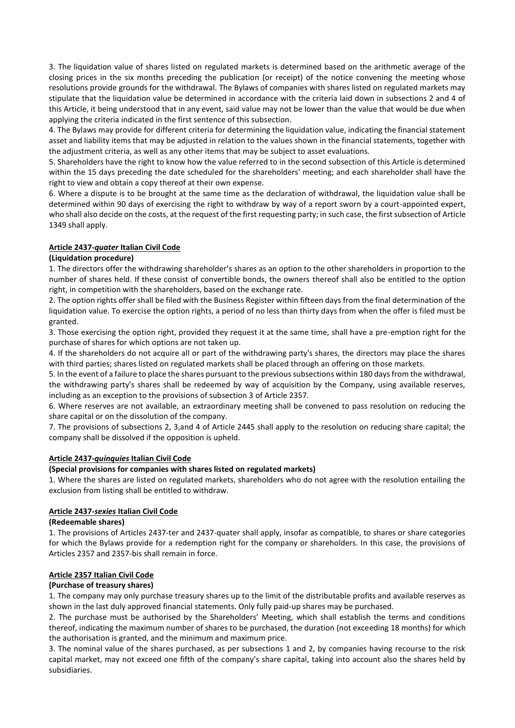3. The liquidation value of shares listed on regulated markets is determined based on the arithmetic average of the closing prices in the six months preceding the publication (or receipt) of the notice convening the meeting whose resolutions provide grounds for the withdrawal. The Bylaws of companies with shares listed on regulated markets may stipulate that the liquidation value be determined in accordance with the criteria laid down in subsections 2 and 4 of this Article, it being understood that in any event, said value may not be lower than the value that would be due when applying the criteria indicated in the first sentence of this subsection.

4. The Bylaws may provide for different criteria for determining the liquidation value, indicating the financial statement asset and liability items that may be adjusted in relation to the values shown in the financial statements, together with the adjustment criteria, as well as any other items that may be subject to asset evaluations.

5. Shareholders have the right to know how the value referred to in the second subsection of this Article is determined within the 15 days preceding the date scheduled for the shareholders' meeting; and each shareholder shall have the right to view and obtain a copy thereof at their own expense.

6. Where a dispute is to be brought at the same time as the declaration of withdrawal, the liquidation value shall be determined within 90 days of exercising the right to withdraw by way of a report sworn by a court-appointed expert, who shall also decide on the costs, at the request of the first requesting party; in such case, the first subsection of Article 1349 shall apply.

# **Article 2437-***quater* **Italian Civil Code**

### **(Liquidation procedure)**

1. The directors offer the withdrawing shareholder's shares as an option to the other shareholders in proportion to the number of shares held. If these consist of convertible bonds, the owners thereof shall also be entitled to the option right, in competition with the shareholders, based on the exchange rate.

2. The option rights offer shall be filed with the Business Register within fifteen days from the final determination of the liquidation value. To exercise the option rights, a period of no less than thirty days from when the offer is filed must be granted.

3. Those exercising the option right, provided they request it at the same time, shall have a pre-emption right for the purchase of shares for which options are not taken up.

4. If the shareholders do not acquire all or part of the withdrawing party's shares, the directors may place the shares with third parties; shares listed on regulated markets shall be placed through an offering on those markets.

5. In the event of a failure to place the shares pursuant to the previous subsections within 180 days from the withdrawal, the withdrawing party's shares shall be redeemed by way of acquisition by the Company, using available reserves, including as an exception to the provisions of subsection 3 of Article 2357.

6. Where reserves are not available, an extraordinary meeting shall be convened to pass resolution on reducing the share capital or on the dissolution of the company.

7. The provisions of subsections 2, 3,and 4 of Article 2445 shall apply to the resolution on reducing share capital; the company shall be dissolved if the opposition is upheld.

### **Article 2437-***quinquies* **Italian Civil Code**

### **(Special provisions for companies with shares listed on regulated markets)**

1. Where the shares are listed on regulated markets, shareholders who do not agree with the resolution entailing the exclusion from listing shall be entitled to withdraw.

### **Article 2437-***sexies* **Italian Civil Code**

### **(Redeemable shares)**

1. The provisions of Articles 2437-ter and 2437-quater shall apply, insofar as compatible, to shares or share categories for which the Bylaws provide for a redemption right for the company or shareholders. In this case, the provisions of Articles 2357 and 2357-bis shall remain in force.

### **Article 2357 Italian Civil Code**

### **(Purchase of treasury shares)**

1. The company may only purchase treasury shares up to the limit of the distributable profits and available reserves as shown in the last duly approved financial statements. Only fully paid-up shares may be purchased.

2. The purchase must be authorised by the Shareholders' Meeting, which shall establish the terms and conditions thereof, indicating the maximum number of shares to be purchased, the duration (not exceeding 18 months) for which the authorisation is granted, and the minimum and maximum price.

3. The nominal value of the shares purchased, as per subsections 1 and 2, by companies having recourse to the risk capital market, may not exceed one fifth of the company's share capital, taking into account also the shares held by subsidiaries.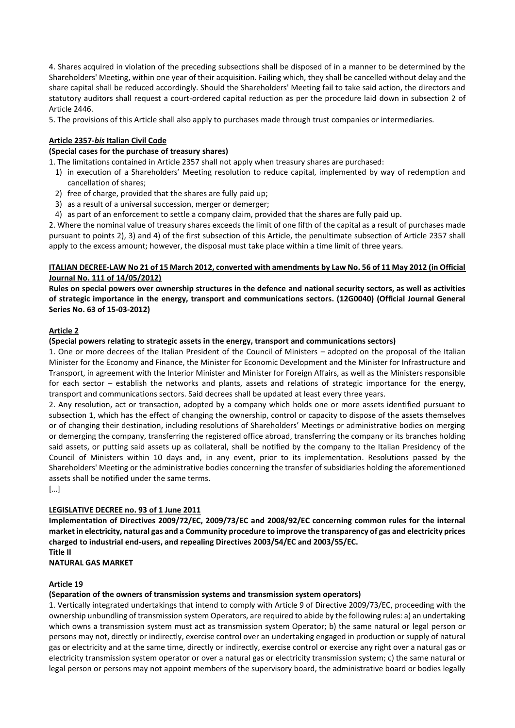4. Shares acquired in violation of the preceding subsections shall be disposed of in a manner to be determined by the Shareholders' Meeting, within one year of their acquisition. Failing which, they shall be cancelled without delay and the share capital shall be reduced accordingly. Should the Shareholders' Meeting fail to take said action, the directors and statutory auditors shall request a court-ordered capital reduction as per the procedure laid down in subsection 2 of Article 2446.

5. The provisions of this Article shall also apply to purchases made through trust companies or intermediaries.

# **Article 2357-***bis* **Italian Civil Code**

### **(Special cases for the purchase of treasury shares)**

1. The limitations contained in Article 2357 shall not apply when treasury shares are purchased:

- 1) in execution of a Shareholders' Meeting resolution to reduce capital, implemented by way of redemption and cancellation of shares;
- 2) free of charge, provided that the shares are fully paid up;
- 3) as a result of a universal succession, merger or demerger;
- 4) as part of an enforcement to settle a company claim, provided that the shares are fully paid up.

2. Where the nominal value of treasury shares exceeds the limit of one fifth of the capital as a result of purchases made pursuant to points 2), 3) and 4) of the first subsection of this Article, the penultimate subsection of Article 2357 shall apply to the excess amount; however, the disposal must take place within a time limit of three years.

### **ITALIAN DECREE-LAW No 21 of 15 March 2012, converted with amendments by Law No. 56 of 11 May 2012 (in Official Journal No. 111 of 14/05/2012)**

**Rules on special powers over ownership structures in the defence and national security sectors, as well as activities of strategic importance in the energy, transport and communications sectors. (12G0040) (Official Journal General Series No. 63 of 15-03-2012)**

### **Article 2**

### **(Special powers relating to strategic assets in the energy, transport and communications sectors)**

1. One or more decrees of the Italian President of the Council of Ministers – adopted on the proposal of the Italian Minister for the Economy and Finance, the Minister for Economic Development and the Minister for Infrastructure and Transport, in agreement with the Interior Minister and Minister for Foreign Affairs, as well as the Ministers responsible for each sector – establish the networks and plants, assets and relations of strategic importance for the energy, transport and communications sectors. Said decrees shall be updated at least every three years.

2. Any resolution, act or transaction, adopted by a company which holds one or more assets identified pursuant to subsection 1, which has the effect of changing the ownership, control or capacity to dispose of the assets themselves or of changing their destination, including resolutions of Shareholders' Meetings or administrative bodies on merging or demerging the company, transferring the registered office abroad, transferring the company or its branches holding said assets, or putting said assets up as collateral, shall be notified by the company to the Italian Presidency of the Council of Ministers within 10 days and, in any event, prior to its implementation. Resolutions passed by the Shareholders' Meeting or the administrative bodies concerning the transfer of subsidiaries holding the aforementioned assets shall be notified under the same terms.

[…]

### **LEGISLATIVE DECREE no. 93 of 1 June 2011**

**Implementation of Directives 2009/72/EC, 2009/73/EC and 2008/92/EC concerning common rules for the internal market in electricity, natural gas and a Community procedure to improve the transparency of gas and electricity prices charged to industrial end-users, and repealing Directives 2003/54/EC and 2003/55/EC. Title II**

**NATURAL GAS MARKET**

### **Article 19**

### **(Separation of the owners of transmission systems and transmission system operators)**

1. Vertically integrated undertakings that intend to comply with Article 9 of Directive 2009/73/EC, proceeding with the ownership unbundling of transmission system Operators, are required to abide by the following rules: a) an undertaking which owns a transmission system must act as transmission system Operator; b) the same natural or legal person or persons may not, directly or indirectly, exercise control over an undertaking engaged in production or supply of natural gas or electricity and at the same time, directly or indirectly, exercise control or exercise any right over a natural gas or electricity transmission system operator or over a natural gas or electricity transmission system; c) the same natural or legal person or persons may not appoint members of the supervisory board, the administrative board or bodies legally